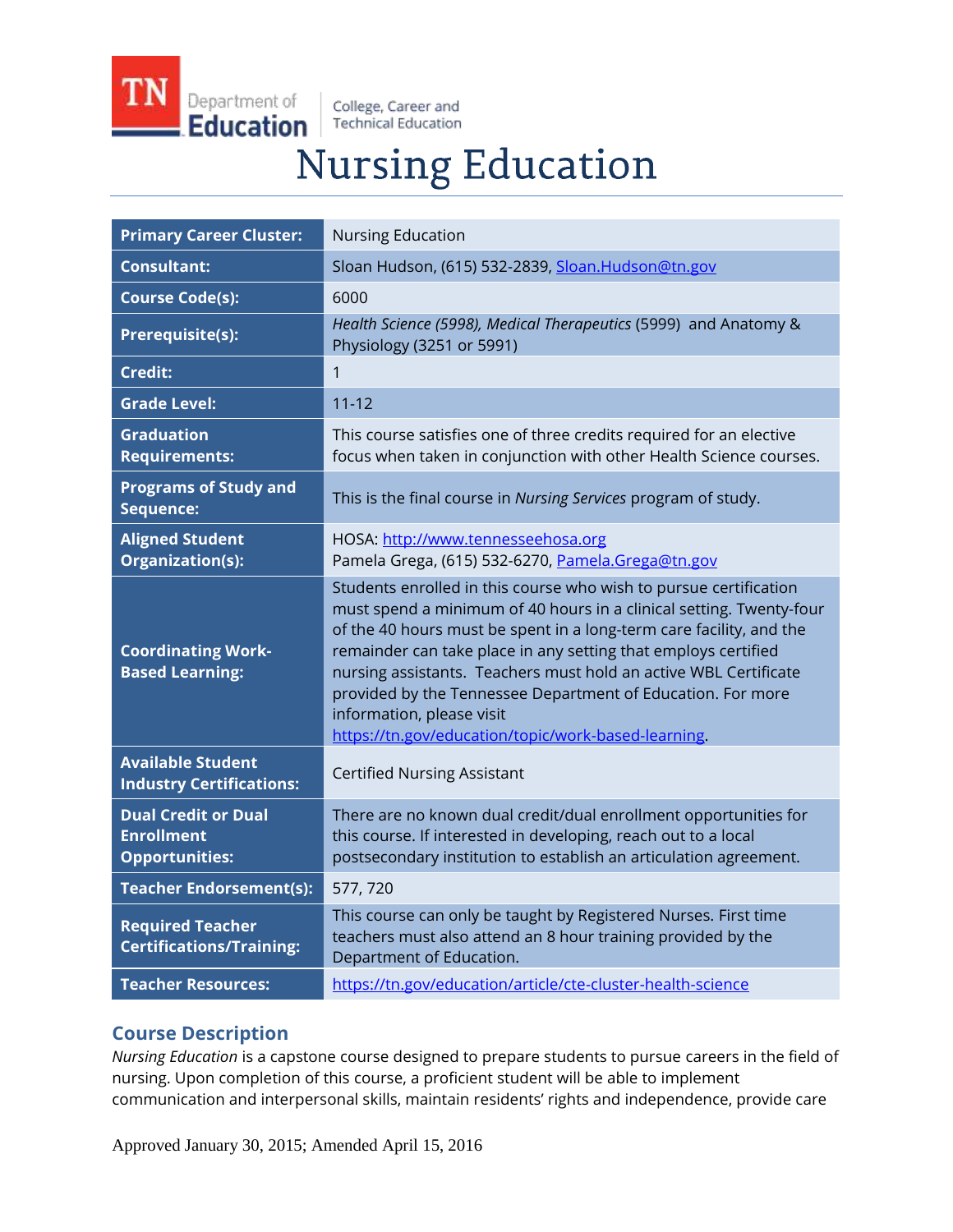Department of **Education** 

College, Career and **Technical Education** 

# **Nursing Education**

| <b>Primary Career Cluster:</b>                                           | <b>Nursing Education</b>                                                                                                                                                                                                                                                                                                                                                                                                                                                                                 |
|--------------------------------------------------------------------------|----------------------------------------------------------------------------------------------------------------------------------------------------------------------------------------------------------------------------------------------------------------------------------------------------------------------------------------------------------------------------------------------------------------------------------------------------------------------------------------------------------|
| <b>Consultant:</b>                                                       | Sloan Hudson, (615) 532-2839, Sloan.Hudson@tn.gov                                                                                                                                                                                                                                                                                                                                                                                                                                                        |
| <b>Course Code(s):</b>                                                   | 6000                                                                                                                                                                                                                                                                                                                                                                                                                                                                                                     |
| Prerequisite(s):                                                         | Health Science (5998), Medical Therapeutics (5999) and Anatomy &<br>Physiology (3251 or 5991)                                                                                                                                                                                                                                                                                                                                                                                                            |
| Credit:                                                                  | 1                                                                                                                                                                                                                                                                                                                                                                                                                                                                                                        |
| <b>Grade Level:</b>                                                      | $11 - 12$                                                                                                                                                                                                                                                                                                                                                                                                                                                                                                |
| <b>Graduation</b><br><b>Requirements:</b>                                | This course satisfies one of three credits required for an elective<br>focus when taken in conjunction with other Health Science courses.                                                                                                                                                                                                                                                                                                                                                                |
| <b>Programs of Study and</b><br>Sequence:                                | This is the final course in Nursing Services program of study.                                                                                                                                                                                                                                                                                                                                                                                                                                           |
| <b>Aligned Student</b><br>Organization(s):                               | HOSA: http://www.tennesseehosa.org<br>Pamela Grega, (615) 532-6270, Pamela.Grega@tn.gov                                                                                                                                                                                                                                                                                                                                                                                                                  |
| <b>Coordinating Work-</b><br><b>Based Learning:</b>                      | Students enrolled in this course who wish to pursue certification<br>must spend a minimum of 40 hours in a clinical setting. Twenty-four<br>of the 40 hours must be spent in a long-term care facility, and the<br>remainder can take place in any setting that employs certified<br>nursing assistants. Teachers must hold an active WBL Certificate<br>provided by the Tennessee Department of Education. For more<br>information, please visit<br>https://tn.gov/education/topic/work-based-learning. |
| <b>Available Student</b><br><b>Industry Certifications:</b>              | <b>Certified Nursing Assistant</b>                                                                                                                                                                                                                                                                                                                                                                                                                                                                       |
| <b>Dual Credit or Dual</b><br><b>Enrollment</b><br><b>Opportunities:</b> | There are no known dual credit/dual enrollment opportunities for<br>this course. If interested in developing, reach out to a local<br>postsecondary institution to establish an articulation agreement.                                                                                                                                                                                                                                                                                                  |
| <b>Teacher Endorsement(s):</b>                                           | 577, 720                                                                                                                                                                                                                                                                                                                                                                                                                                                                                                 |
| <b>Required Teacher</b><br><b>Certifications/Training:</b>               | This course can only be taught by Registered Nurses. First time<br>teachers must also attend an 8 hour training provided by the<br>Department of Education.                                                                                                                                                                                                                                                                                                                                              |
| <b>Teacher Resources:</b>                                                | https://tn.gov/education/article/cte-cluster-health-science                                                                                                                                                                                                                                                                                                                                                                                                                                              |

# **Course Description**

*Nursing Education* is a capstone course designed to prepare students to pursue careers in the field of nursing. Upon completion of this course, a proficient student will be able to implement communication and interpersonal skills, maintain residents' rights and independence, provide care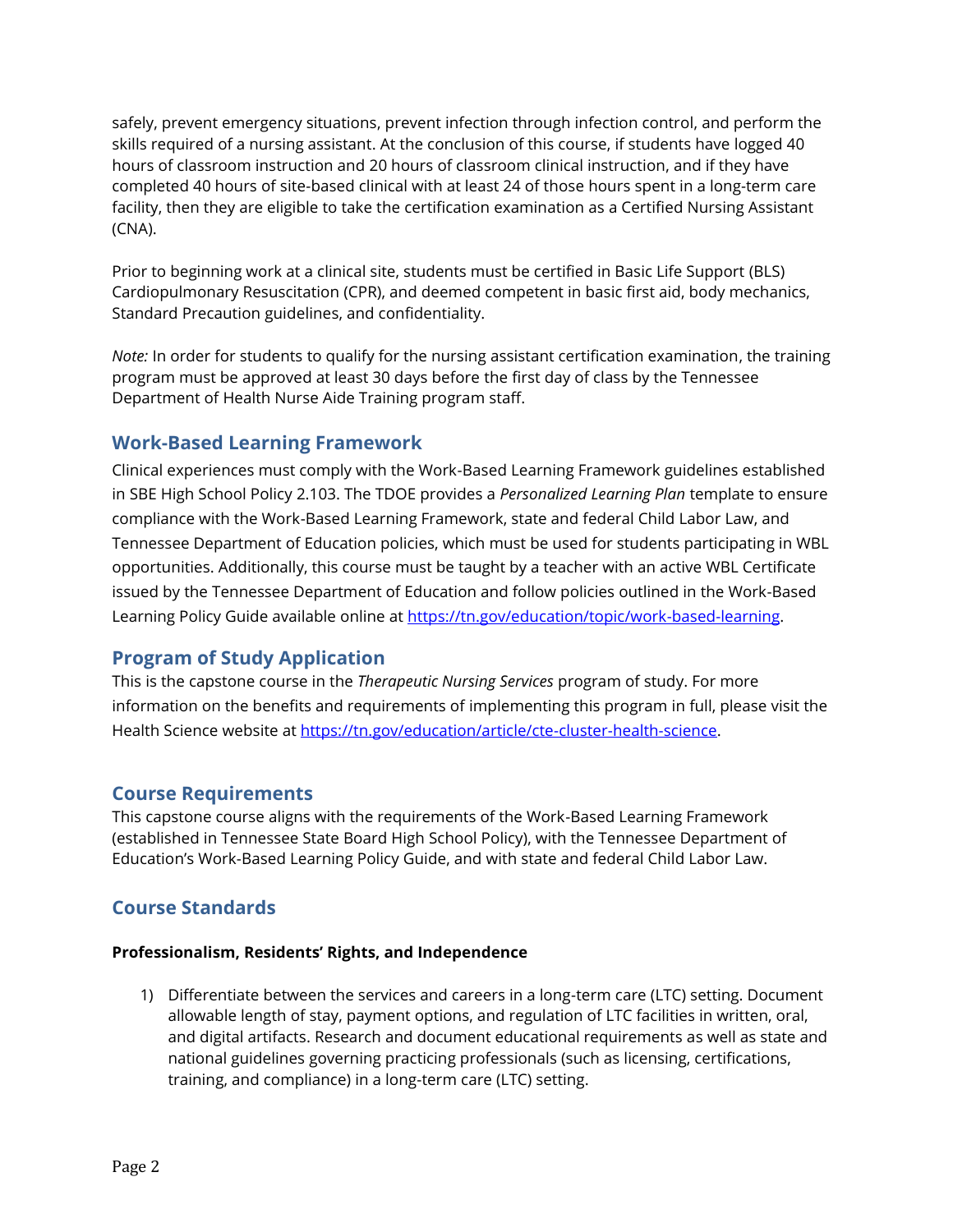safely, prevent emergency situations, prevent infection through infection control, and perform the skills required of a nursing assistant. At the conclusion of this course, if students have logged 40 hours of classroom instruction and 20 hours of classroom clinical instruction, and if they have completed 40 hours of site-based clinical with at least 24 of those hours spent in a long-term care facility, then they are eligible to take the certification examination as a Certified Nursing Assistant (CNA).

Prior to beginning work at a clinical site, students must be certified in Basic Life Support (BLS) Cardiopulmonary Resuscitation (CPR), and deemed competent in basic first aid, body mechanics, Standard Precaution guidelines, and confidentiality.

*Note:* In order for students to qualify for the nursing assistant certification examination, the training program must be approved at least 30 days before the first day of class by the Tennessee Department of Health Nurse Aide Training program staff.

## **Work-Based Learning Framework**

Clinical experiences must comply with the Work-Based Learning Framework guidelines established in SBE High School Policy 2.103. The TDOE provides a *Personalized Learning Plan* template to ensure compliance with the Work-Based Learning Framework, state and federal Child Labor Law, and Tennessee Department of Education policies, which must be used for students participating in WBL opportunities. Additionally, this course must be taught by a teacher with an active WBL Certificate issued by the Tennessee Department of Education and follow policies outlined in the Work-Based Learning Policy Guide available online at https://tn.gov/education/topic/work-based-learning.

## **Program of Study Application**

This is the capstone course in the *Therapeutic Nursing Services* program of study. For more information on the benefits and requirements of implementing this program in full, please visit the Health Science website at [https://tn.gov/education/article/cte-cluster-health-science.](https://tn.gov/education/article/cte-cluster-health-science)

## **Course Requirements**

This capstone course aligns with the requirements of the Work-Based Learning Framework (established in Tennessee State Board High School Policy), with the Tennessee Department of Education's Work-Based Learning Policy Guide, and with state and federal Child Labor Law.

## **Course Standards**

#### **Professionalism, Residents' Rights, and Independence**

1) Differentiate between the services and careers in a long-term care (LTC) setting. Document allowable length of stay, payment options, and regulation of LTC facilities in written, oral, and digital artifacts. Research and document educational requirements as well as state and national guidelines governing practicing professionals (such as licensing, certifications, training, and compliance) in a long-term care (LTC) setting.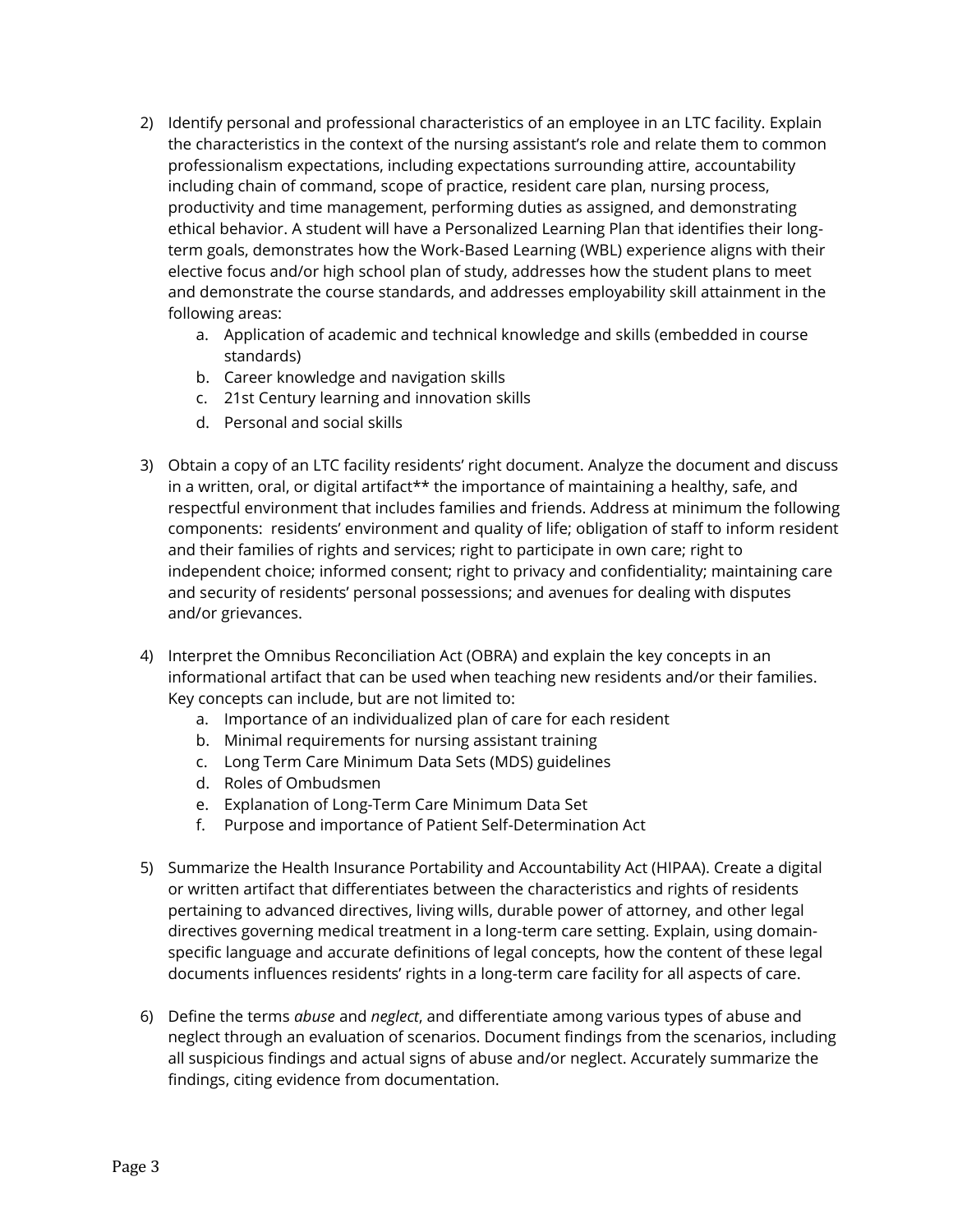- 2) Identify personal and professional characteristics of an employee in an LTC facility. Explain the characteristics in the context of the nursing assistant's role and relate them to common professionalism expectations, including expectations surrounding attire, accountability including chain of command, scope of practice, resident care plan, nursing process, productivity and time management, performing duties as assigned, and demonstrating ethical behavior. A student will have a Personalized Learning Plan that identifies their longterm goals, demonstrates how the Work-Based Learning (WBL) experience aligns with their elective focus and/or high school plan of study, addresses how the student plans to meet and demonstrate the course standards, and addresses employability skill attainment in the following areas:
	- a. Application of academic and technical knowledge and skills (embedded in course standards)
	- b. Career knowledge and navigation skills
	- c. 21st Century learning and innovation skills
	- d. Personal and social skills
- 3) Obtain a copy of an LTC facility residents' right document. Analyze the document and discuss in a written, oral, or digital artifact\*\* the importance of maintaining a healthy, safe, and respectful environment that includes families and friends. Address at minimum the following components: residents' environment and quality of life; obligation of staff to inform resident and their families of rights and services; right to participate in own care; right to independent choice; informed consent; right to privacy and confidentiality; maintaining care and security of residents' personal possessions; and avenues for dealing with disputes and/or grievances.
- 4) Interpret the Omnibus Reconciliation Act (OBRA) and explain the key concepts in an informational artifact that can be used when teaching new residents and/or their families. Key concepts can include, but are not limited to:
	- a. Importance of an individualized plan of care for each resident
	- b. Minimal requirements for nursing assistant training
	- c. Long Term Care Minimum Data Sets (MDS) guidelines
	- d. Roles of Ombudsmen
	- e. Explanation of Long-Term Care Minimum Data Set
	- f. Purpose and importance of Patient Self-Determination Act
- 5) Summarize the Health Insurance Portability and Accountability Act (HIPAA). Create a digital or written artifact that differentiates between the characteristics and rights of residents pertaining to advanced directives, living wills, durable power of attorney, and other legal directives governing medical treatment in a long-term care setting. Explain, using domainspecific language and accurate definitions of legal concepts, how the content of these legal documents influences residents' rights in a long-term care facility for all aspects of care.
- 6) Define the terms *abuse* and *neglect*, and differentiate among various types of abuse and neglect through an evaluation of scenarios. Document findings from the scenarios, including all suspicious findings and actual signs of abuse and/or neglect. Accurately summarize the findings, citing evidence from documentation.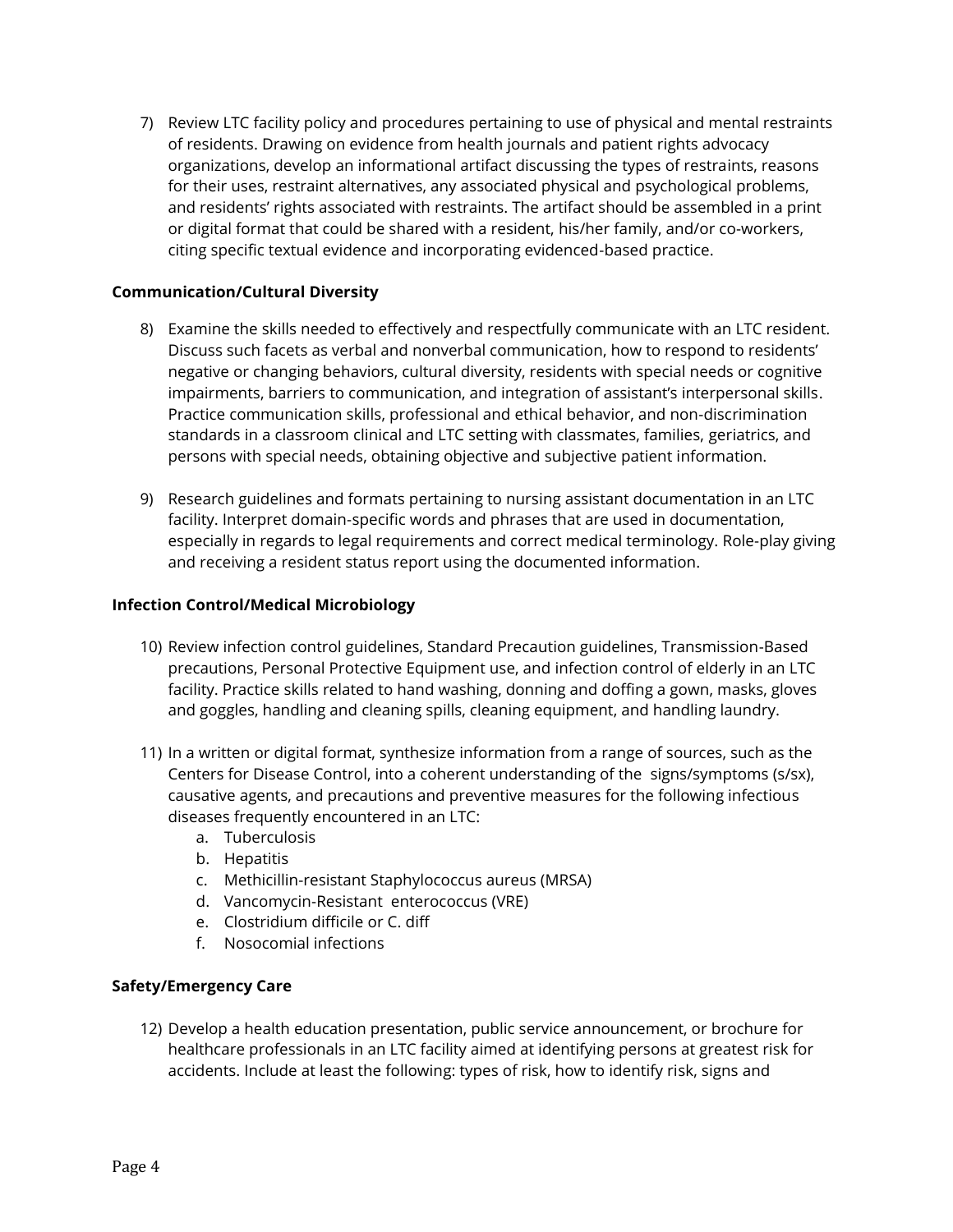7) Review LTC facility policy and procedures pertaining to use of physical and mental restraints of residents. Drawing on evidence from health journals and patient rights advocacy organizations, develop an informational artifact discussing the types of restraints, reasons for their uses, restraint alternatives, any associated physical and psychological problems, and residents' rights associated with restraints. The artifact should be assembled in a print or digital format that could be shared with a resident, his/her family, and/or co-workers, citing specific textual evidence and incorporating evidenced-based practice.

#### **Communication/Cultural Diversity**

- 8) Examine the skills needed to effectively and respectfully communicate with an LTC resident. Discuss such facets as verbal and nonverbal communication, how to respond to residents' negative or changing behaviors, cultural diversity, residents with special needs or cognitive impairments, barriers to communication, and integration of assistant's interpersonal skills. Practice communication skills, professional and ethical behavior, and non-discrimination standards in a classroom clinical and LTC setting with classmates, families, geriatrics, and persons with special needs, obtaining objective and subjective patient information.
- 9) Research guidelines and formats pertaining to nursing assistant documentation in an LTC facility. Interpret domain-specific words and phrases that are used in documentation, especially in regards to legal requirements and correct medical terminology. Role-play giving and receiving a resident status report using the documented information.

#### **Infection Control/Medical Microbiology**

- 10) Review infection control guidelines, Standard Precaution guidelines, Transmission-Based precautions, Personal Protective Equipment use, and infection control of elderly in an LTC facility. Practice skills related to hand washing, donning and doffing a gown, masks, gloves and goggles, handling and cleaning spills, cleaning equipment, and handling laundry.
- 11) In a written or digital format, synthesize information from a range of sources, such as the Centers for Disease Control, into a coherent understanding of the signs/symptoms (s/sx), causative agents, and precautions and preventive measures for the following infectious diseases frequently encountered in an LTC:
	- a. Tuberculosis
	- b. Hepatitis
	- c. Methicillin-resistant Staphylococcus aureus (MRSA)
	- d. Vancomycin-Resistant enterococcus (VRE)
	- e. Clostridium difficile or C. diff
	- f. Nosocomial infections

#### **Safety/Emergency Care**

12) Develop a health education presentation, public service announcement, or brochure for healthcare professionals in an LTC facility aimed at identifying persons at greatest risk for accidents. Include at least the following: types of risk, how to identify risk, signs and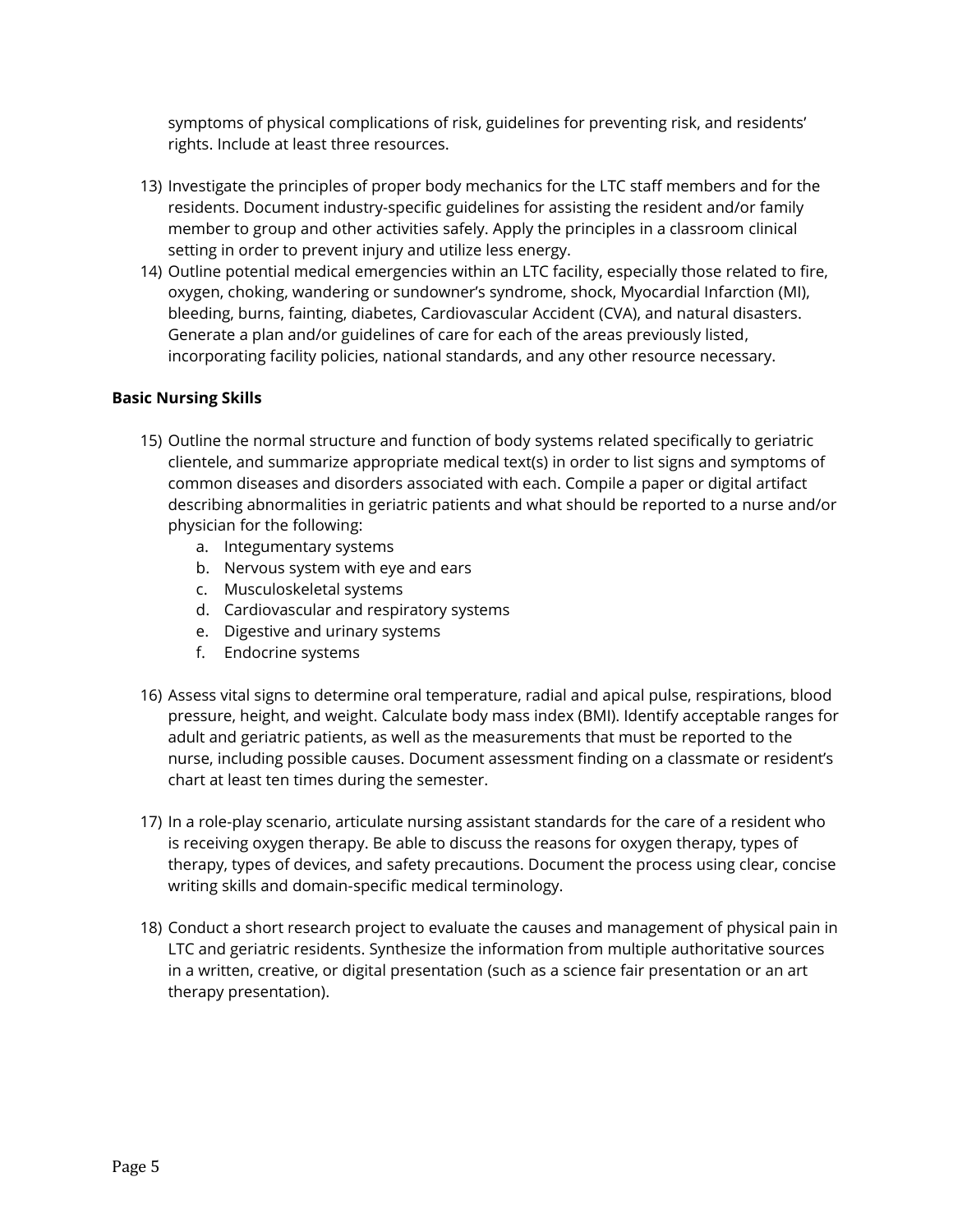symptoms of physical complications of risk, guidelines for preventing risk, and residents' rights. Include at least three resources.

- 13) Investigate the principles of proper body mechanics for the LTC staff members and for the residents. Document industry-specific guidelines for assisting the resident and/or family member to group and other activities safely. Apply the principles in a classroom clinical setting in order to prevent injury and utilize less energy.
- 14) Outline potential medical emergencies within an LTC facility, especially those related to fire, oxygen, choking, wandering or sundowner's syndrome, shock, Myocardial Infarction (MI), bleeding, burns, fainting, diabetes, Cardiovascular Accident (CVA), and natural disasters. Generate a plan and/or guidelines of care for each of the areas previously listed, incorporating facility policies, national standards, and any other resource necessary.

#### **Basic Nursing Skills**

- 15) Outline the normal structure and function of body systems related specifically to geriatric clientele, and summarize appropriate medical text(s) in order to list signs and symptoms of common diseases and disorders associated with each. Compile a paper or digital artifact describing abnormalities in geriatric patients and what should be reported to a nurse and/or physician for the following:
	- a. Integumentary systems
	- b. Nervous system with eye and ears
	- c. Musculoskeletal systems
	- d. Cardiovascular and respiratory systems
	- e. Digestive and urinary systems
	- f. Endocrine systems
- 16) Assess vital signs to determine oral temperature, radial and apical pulse, respirations, blood pressure, height, and weight. Calculate body mass index (BMI). Identify acceptable ranges for adult and geriatric patients, as well as the measurements that must be reported to the nurse, including possible causes. Document assessment finding on a classmate or resident's chart at least ten times during the semester.
- 17) In a role-play scenario, articulate nursing assistant standards for the care of a resident who is receiving oxygen therapy. Be able to discuss the reasons for oxygen therapy, types of therapy, types of devices, and safety precautions. Document the process using clear, concise writing skills and domain-specific medical terminology.
- 18) Conduct a short research project to evaluate the causes and management of physical pain in LTC and geriatric residents. Synthesize the information from multiple authoritative sources in a written, creative, or digital presentation (such as a science fair presentation or an art therapy presentation).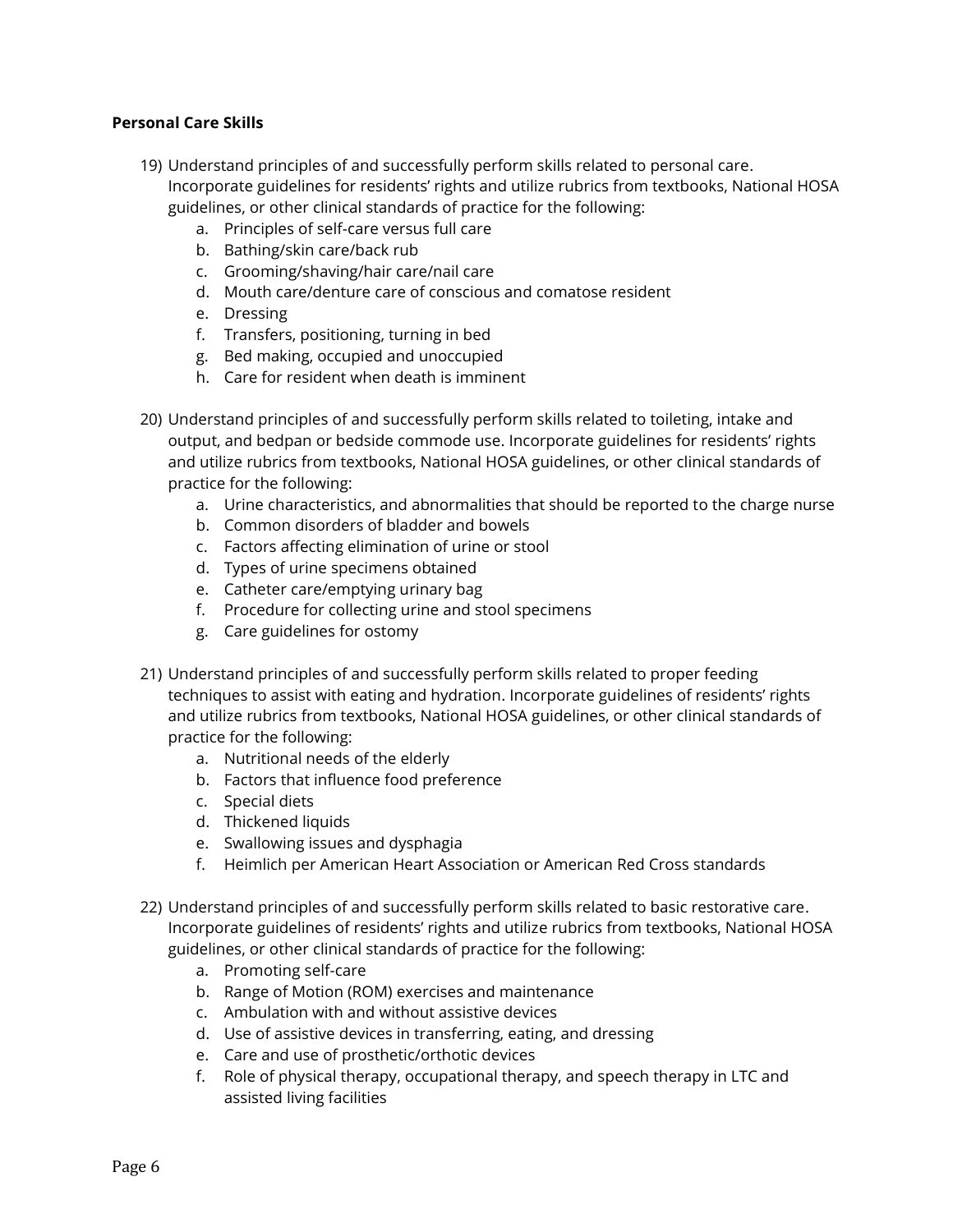#### **Personal Care Skills**

- 19) Understand principles of and successfully perform skills related to personal care. Incorporate guidelines for residents' rights and utilize rubrics from textbooks, National HOSA guidelines, or other clinical standards of practice for the following:
	- a. Principles of self-care versus full care
	- b. Bathing/skin care/back rub
	- c. Grooming/shaving/hair care/nail care
	- d. Mouth care/denture care of conscious and comatose resident
	- e. Dressing
	- f. Transfers, positioning, turning in bed
	- g. Bed making, occupied and unoccupied
	- h. Care for resident when death is imminent
- 20) Understand principles of and successfully perform skills related to toileting, intake and output, and bedpan or bedside commode use. Incorporate guidelines for residents' rights and utilize rubrics from textbooks, National HOSA guidelines, or other clinical standards of practice for the following:
	- a. Urine characteristics, and abnormalities that should be reported to the charge nurse
	- b. Common disorders of bladder and bowels
	- c. Factors affecting elimination of urine or stool
	- d. Types of urine specimens obtained
	- e. Catheter care/emptying urinary bag
	- f. Procedure for collecting urine and stool specimens
	- g. Care guidelines for ostomy
- 21) Understand principles of and successfully perform skills related to proper feeding techniques to assist with eating and hydration. Incorporate guidelines of residents' rights and utilize rubrics from textbooks, National HOSA guidelines, or other clinical standards of practice for the following:
	- a. Nutritional needs of the elderly
	- b. Factors that influence food preference
	- c. Special diets
	- d. Thickened liquids
	- e. Swallowing issues and dysphagia
	- f. Heimlich per American Heart Association or American Red Cross standards
- 22) Understand principles of and successfully perform skills related to basic restorative care. Incorporate guidelines of residents' rights and utilize rubrics from textbooks, National HOSA guidelines, or other clinical standards of practice for the following:
	- a. Promoting self-care
	- b. Range of Motion (ROM) exercises and maintenance
	- c. Ambulation with and without assistive devices
	- d. Use of assistive devices in transferring, eating, and dressing
	- e. Care and use of prosthetic/orthotic devices
	- f. Role of physical therapy, occupational therapy, and speech therapy in LTC and assisted living facilities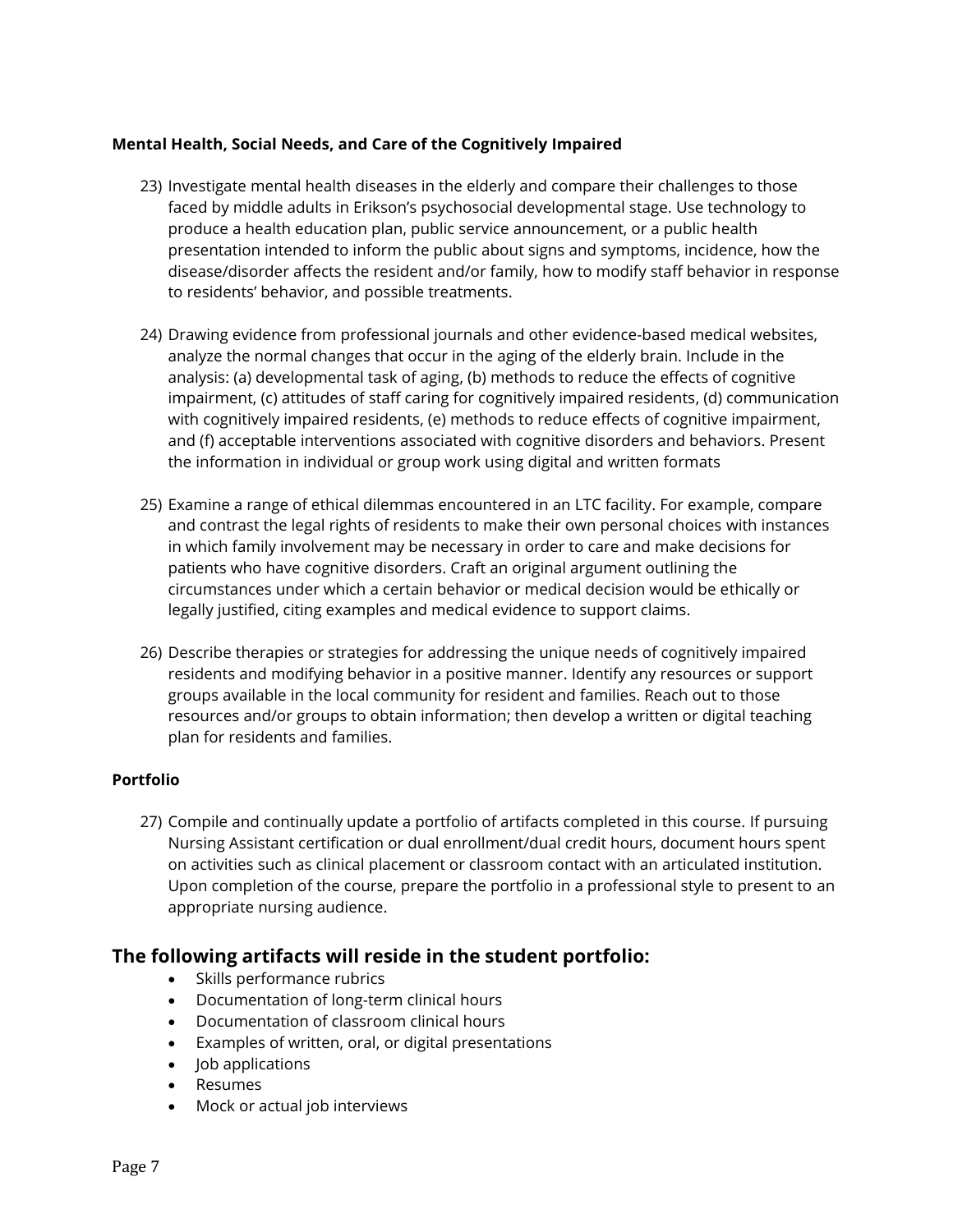#### **Mental Health, Social Needs, and Care of the Cognitively Impaired**

- 23) Investigate mental health diseases in the elderly and compare their challenges to those faced by middle adults in Erikson's psychosocial developmental stage. Use technology to produce a health education plan, public service announcement, or a public health presentation intended to inform the public about signs and symptoms, incidence, how the disease/disorder affects the resident and/or family, how to modify staff behavior in response to residents' behavior, and possible treatments.
- 24) Drawing evidence from professional journals and other evidence-based medical websites, analyze the normal changes that occur in the aging of the elderly brain. Include in the analysis: (a) developmental task of aging, (b) methods to reduce the effects of cognitive impairment, (c) attitudes of staff caring for cognitively impaired residents, (d) communication with cognitively impaired residents, (e) methods to reduce effects of cognitive impairment, and (f) acceptable interventions associated with cognitive disorders and behaviors. Present the information in individual or group work using digital and written formats
- 25) Examine a range of ethical dilemmas encountered in an LTC facility. For example, compare and contrast the legal rights of residents to make their own personal choices with instances in which family involvement may be necessary in order to care and make decisions for patients who have cognitive disorders. Craft an original argument outlining the circumstances under which a certain behavior or medical decision would be ethically or legally justified, citing examples and medical evidence to support claims.
- 26) Describe therapies or strategies for addressing the unique needs of cognitively impaired residents and modifying behavior in a positive manner. Identify any resources or support groups available in the local community for resident and families. Reach out to those resources and/or groups to obtain information; then develop a written or digital teaching plan for residents and families.

#### **Portfolio**

27) Compile and continually update a portfolio of artifacts completed in this course. If pursuing Nursing Assistant certification or dual enrollment/dual credit hours, document hours spent on activities such as clinical placement or classroom contact with an articulated institution. Upon completion of the course, prepare the portfolio in a professional style to present to an appropriate nursing audience.

## **The following artifacts will reside in the student portfolio:**

- Skills performance rubrics
- Documentation of long-term clinical hours
- Documentation of classroom clinical hours
- Examples of written, oral, or digital presentations
- $\bullet$  Iob applications
- Resumes
- Mock or actual job interviews